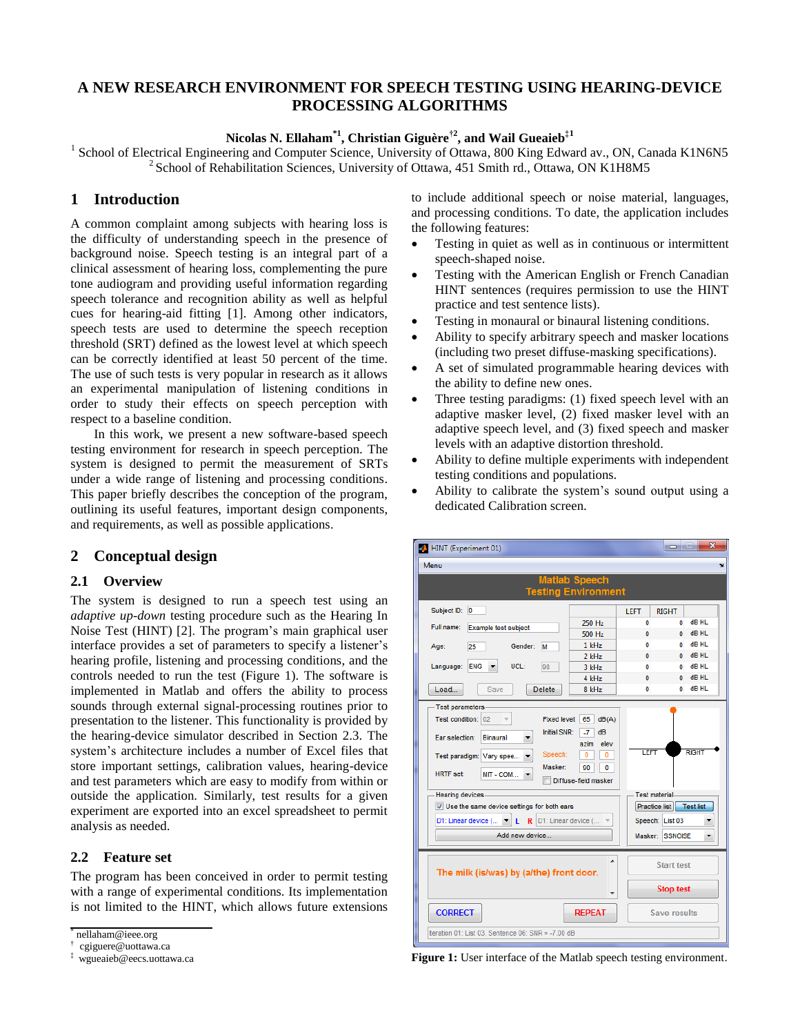# **A NEW RESEARCH ENVIRONMENT FOR SPEECH TESTING USING HEARING-DEVICE PROCESSING ALGORITHMS**

**Nicolas N. Ellaham\*1 , Christian Giguère†2 , and Wail Gueaieb‡1**

<sup>1</sup> School of Electrical Engineering and Computer Science, University of Ottawa, 800 King Edward av., ON, Canada K1N6N5 <sup>2</sup> School of Rehabilitation Sciences, University of Ottawa, 451 Smith rd., Ottawa, ON K1H8M5

## **1 Introduction**

A common complaint among subjects with hearing loss is the difficulty of understanding speech in the presence of background noise. Speech testing is an integral part of a clinical assessment of hearing loss, complementing the pure tone audiogram and providing useful information regarding speech tolerance and recognition ability as well as helpful cues for hearing-aid fitting [1]. Among other indicators, speech tests are used to determine the speech reception threshold (SRT) defined as the lowest level at which speech can be correctly identified at least 50 percent of the time. The use of such tests is very popular in research as it allows an experimental manipulation of listening conditions in order to study their effects on speech perception with respect to a baseline condition.

In this work, we present a new software-based speech testing environment for research in speech perception. The system is designed to permit the measurement of SRTs under a wide range of listening and processing conditions. This paper briefly describes the conception of the program, outlining its useful features, important design components, and requirements, as well as possible applications.

# **2 Conceptual design**

## **2.1 Overview**

The system is designed to run a speech test using an *adaptive up-down* testing procedure such as the Hearing In Noise Test (HINT) [2]. The program's main graphical user interface provides a set of parameters to specify a listener's hearing profile, listening and processing conditions, and the controls needed to run the test (Figure 1). The software is implemented in Matlab and offers the ability to process sounds through external signal-processing routines prior to presentation to the listener. This functionality is provided by the hearing-device simulator described in Section 2.3. The system's architecture includes a number of Excel files that store important settings, calibration values, hearing-device and test parameters which are easy to modify from within or outside the application. Similarly, test results for a given experiment are exported into an excel spreadsheet to permit analysis as needed.

## **2.2 Feature set**

The program has been conceived in order to permit testing with a range of experimental conditions. Its implementation is not limited to the HINT, which allows future extensions to include additional speech or noise material, languages, and processing conditions. To date, the application includes the following features:

- Testing in quiet as well as in continuous or intermittent speech-shaped noise.
- Testing with the American English or French Canadian HINT sentences (requires permission to use the HINT practice and test sentence lists).
- Testing in monaural or binaural listening conditions.
- Ability to specify arbitrary speech and masker locations (including two preset diffuse-masking specifications).
- A set of simulated programmable hearing devices with the ability to define new ones.
- Three testing paradigms: (1) fixed speech level with an adaptive masker level, (2) fixed masker level with an adaptive speech level, and (3) fixed speech and masker levels with an adaptive distortion threshold.
- Ability to define multiple experiments with independent testing conditions and populations.
- Ability to calibrate the system's sound output using a dedicated Calibration screen.



**Figure 1:** User interface of the Matlab speech testing environment.

<sup>\*</sup> nellaham@ieee.org

<sup>†</sup> cgiguere@uottawa.ca